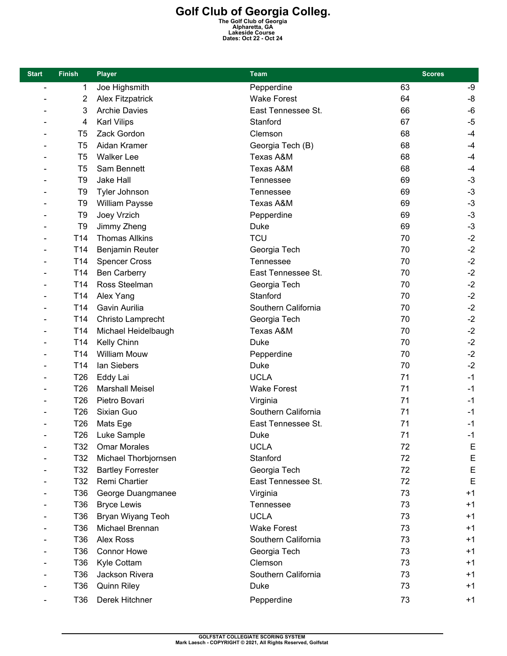## **Golf Club of Georgia Colleg.**<br>
The Golf Club of Georgia<br>
Alpharetta, GA<br>
Lakeside Course<br>
Dates: Oct 22 - Oct 24

| <b>Start</b>             | <b>Finish</b>   | <b>Player</b>            | Team                 | <b>Scores</b> |             |
|--------------------------|-----------------|--------------------------|----------------------|---------------|-------------|
| $\overline{\phantom{a}}$ | 1               | Joe Highsmith            | Pepperdine           | 63            | -9          |
|                          | 2               | <b>Alex Fitzpatrick</b>  | <b>Wake Forest</b>   | 64            | -8          |
|                          | 3               | <b>Archie Davies</b>     | East Tennessee St.   | 66            | -6          |
|                          | 4               | <b>Karl Vilips</b>       | Stanford             | 67            | $-5$        |
|                          | T <sub>5</sub>  | Zack Gordon              | Clemson              | 68            | $-4$        |
|                          | T <sub>5</sub>  | Aidan Kramer             | Georgia Tech (B)     | 68            | $-4$        |
|                          | T <sub>5</sub>  | <b>Walker Lee</b>        | <b>Texas A&amp;M</b> | 68            | $-4$        |
|                          | T <sub>5</sub>  | Sam Bennett              | Texas A&M            | 68            | $-4$        |
|                          | T <sub>9</sub>  | Jake Hall                | <b>Tennessee</b>     | 69            | $-3$        |
|                          | T <sub>9</sub>  | Tyler Johnson            | Tennessee            | 69            | $-3$        |
|                          | T <sub>9</sub>  | <b>William Paysse</b>    | Texas A&M            | 69            | $-3$        |
|                          | T <sub>9</sub>  | Joey Vrzich              | Pepperdine           | 69            | $-3$        |
|                          | T <sub>9</sub>  | Jimmy Zheng              | Duke                 | 69            | $-3$        |
|                          | T14             | <b>Thomas Allkins</b>    | <b>TCU</b>           | 70            | $-2$        |
|                          | T <sub>14</sub> | Benjamin Reuter          | Georgia Tech         | 70            | $-2$        |
| $\overline{\phantom{a}}$ | T14             | <b>Spencer Cross</b>     | Tennessee            | 70            | $-2$        |
| $\blacksquare$           | T14             | <b>Ben Carberry</b>      | East Tennessee St.   | 70            | $-2$        |
|                          | T14             | Ross Steelman            | Georgia Tech         | 70            | $-2$        |
| $\overline{\phantom{a}}$ | T14             | Alex Yang                | Stanford             | 70            | $-2$        |
|                          | T14             | Gavin Aurilia            | Southern California  | 70            | $-2$        |
|                          | T14             | Christo Lamprecht        | Georgia Tech         | 70            | $-2$        |
| $\overline{\phantom{a}}$ | T14             | Michael Heidelbaugh      | Texas A&M            | 70            | $-2$        |
| $\blacksquare$           | T14             | Kelly Chinn              | <b>Duke</b>          | 70            | $-2$        |
|                          | T14             | <b>William Mouw</b>      | Pepperdine           | 70            | $-2$        |
| $\overline{\phantom{a}}$ | T14             | lan Siebers              | Duke                 | 70            | $-2$        |
|                          | T <sub>26</sub> | Eddy Lai                 | <b>UCLA</b>          | 71            | $-1$        |
|                          | T26             | <b>Marshall Meisel</b>   | <b>Wake Forest</b>   | 71            | $-1$        |
|                          | T <sub>26</sub> | Pietro Bovari            | Virginia             | 71            | $-1$        |
|                          | T <sub>26</sub> | Sixian Guo               | Southern California  | 71            | $-1$        |
|                          | T <sub>26</sub> | Mats Ege                 | East Tennessee St.   | 71            | $-1$        |
|                          | T26             | Luke Sample              | Duke                 | 71            | $-1$        |
|                          | T32             | <b>Omar Morales</b>      | <b>UCLA</b>          | 72            | E           |
|                          | T32             | Michael Thorbjornsen     | Stanford             | 72            | $\mathsf E$ |
|                          | T32             | <b>Bartley Forrester</b> | Georgia Tech         | 72            | E           |
|                          | T32             | Remi Chartier            | East Tennessee St.   | 72            | E           |
|                          | T <sub>36</sub> | George Duangmanee        | Virginia             | 73            | $+1$        |
|                          | T36             | <b>Bryce Lewis</b>       | Tennessee            | 73            | $+1$        |
|                          | T36             | Bryan Wiyang Teoh        | <b>UCLA</b>          | 73            | $+1$        |
|                          | T36             | Michael Brennan          | <b>Wake Forest</b>   | 73            | $+1$        |
|                          | T36             | <b>Alex Ross</b>         | Southern California  | 73            | $+1$        |
|                          | T36             | <b>Connor Howe</b>       | Georgia Tech         | 73            | $+1$        |
|                          | T <sub>36</sub> | Kyle Cottam              | Clemson              | 73            | $+1$        |
|                          | T36             | Jackson Rivera           | Southern California  | 73            | $+1$        |
|                          | T36             | <b>Quinn Riley</b>       | Duke                 | 73            | $+1$        |
|                          | T36             | Derek Hitchner           | Pepperdine           | 73            | $+1$        |